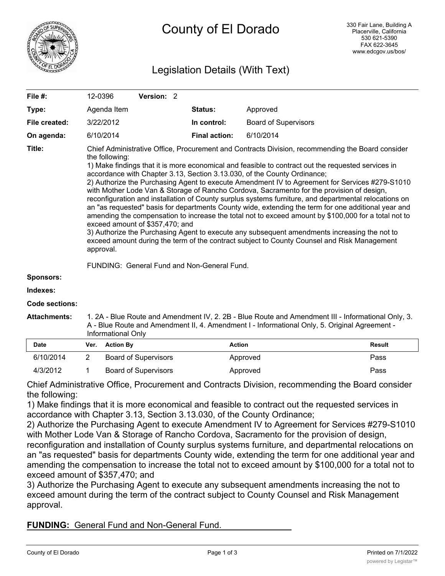

# Legislation Details (With Text)

| File #:               |                                                                                                                                                                                                                                                                                                                                                                                                                                                                                                                                                                                                                                                                                                                                                                                                                                                                                                                                                                                                                                                                                                                           | 12-0396          | Version: 2                  |                      |                             |               |
|-----------------------|---------------------------------------------------------------------------------------------------------------------------------------------------------------------------------------------------------------------------------------------------------------------------------------------------------------------------------------------------------------------------------------------------------------------------------------------------------------------------------------------------------------------------------------------------------------------------------------------------------------------------------------------------------------------------------------------------------------------------------------------------------------------------------------------------------------------------------------------------------------------------------------------------------------------------------------------------------------------------------------------------------------------------------------------------------------------------------------------------------------------------|------------------|-----------------------------|----------------------|-----------------------------|---------------|
| Type:                 |                                                                                                                                                                                                                                                                                                                                                                                                                                                                                                                                                                                                                                                                                                                                                                                                                                                                                                                                                                                                                                                                                                                           | Agenda Item      |                             | <b>Status:</b>       | Approved                    |               |
| File created:         |                                                                                                                                                                                                                                                                                                                                                                                                                                                                                                                                                                                                                                                                                                                                                                                                                                                                                                                                                                                                                                                                                                                           | 3/22/2012        |                             | In control:          | <b>Board of Supervisors</b> |               |
| On agenda:            |                                                                                                                                                                                                                                                                                                                                                                                                                                                                                                                                                                                                                                                                                                                                                                                                                                                                                                                                                                                                                                                                                                                           | 6/10/2014        |                             | <b>Final action:</b> | 6/10/2014                   |               |
| Title:                | Chief Administrative Office, Procurement and Contracts Division, recommending the Board consider<br>the following:<br>1) Make findings that it is more economical and feasible to contract out the requested services in<br>accordance with Chapter 3.13, Section 3.13.030, of the County Ordinance;<br>2) Authorize the Purchasing Agent to execute Amendment IV to Agreement for Services #279-S1010<br>with Mother Lode Van & Storage of Rancho Cordova, Sacramento for the provision of design,<br>reconfiguration and installation of County surplus systems furniture, and departmental relocations on<br>an "as requested" basis for departments County wide, extending the term for one additional year and<br>amending the compensation to increase the total not to exceed amount by \$100,000 for a total not to<br>exceed amount of \$357,470; and<br>3) Authorize the Purchasing Agent to execute any subsequent amendments increasing the not to<br>exceed amount during the term of the contract subject to County Counsel and Risk Management<br>approval.<br>FUNDING: General Fund and Non-General Fund. |                  |                             |                      |                             |               |
| <b>Sponsors:</b>      |                                                                                                                                                                                                                                                                                                                                                                                                                                                                                                                                                                                                                                                                                                                                                                                                                                                                                                                                                                                                                                                                                                                           |                  |                             |                      |                             |               |
| Indexes:              |                                                                                                                                                                                                                                                                                                                                                                                                                                                                                                                                                                                                                                                                                                                                                                                                                                                                                                                                                                                                                                                                                                                           |                  |                             |                      |                             |               |
| <b>Code sections:</b> |                                                                                                                                                                                                                                                                                                                                                                                                                                                                                                                                                                                                                                                                                                                                                                                                                                                                                                                                                                                                                                                                                                                           |                  |                             |                      |                             |               |
| <b>Attachments:</b>   | 1. 2A - Blue Route and Amendment IV, 2. 2B - Blue Route and Amendment III - Informational Only, 3.<br>A - Blue Route and Amendment II, 4. Amendment I - Informational Only, 5. Original Agreement -<br>Informational Only                                                                                                                                                                                                                                                                                                                                                                                                                                                                                                                                                                                                                                                                                                                                                                                                                                                                                                 |                  |                             |                      |                             |               |
| <b>Date</b>           | Ver.                                                                                                                                                                                                                                                                                                                                                                                                                                                                                                                                                                                                                                                                                                                                                                                                                                                                                                                                                                                                                                                                                                                      | <b>Action By</b> |                             |                      | <b>Action</b>               | <b>Result</b> |
| 6/10/2014             | 2                                                                                                                                                                                                                                                                                                                                                                                                                                                                                                                                                                                                                                                                                                                                                                                                                                                                                                                                                                                                                                                                                                                         |                  | <b>Board of Supervisors</b> |                      | Approved                    | Pass          |
| 4/3/2012              | 1                                                                                                                                                                                                                                                                                                                                                                                                                                                                                                                                                                                                                                                                                                                                                                                                                                                                                                                                                                                                                                                                                                                         |                  | <b>Board of Supervisors</b> |                      | Approved                    | Pass          |

Chief Administrative Office, Procurement and Contracts Division, recommending the Board consider the following:

1) Make findings that it is more economical and feasible to contract out the requested services in accordance with Chapter 3.13, Section 3.13.030, of the County Ordinance;

2) Authorize the Purchasing Agent to execute Amendment IV to Agreement for Services #279-S1010 with Mother Lode Van & Storage of Rancho Cordova, Sacramento for the provision of design,

reconfiguration and installation of County surplus systems furniture, and departmental relocations on an "as requested" basis for departments County wide, extending the term for one additional year and amending the compensation to increase the total not to exceed amount by \$100,000 for a total not to exceed amount of \$357,470; and

3) Authorize the Purchasing Agent to execute any subsequent amendments increasing the not to exceed amount during the term of the contract subject to County Counsel and Risk Management approval.

**FUNDING:** General Fund and Non-General Fund.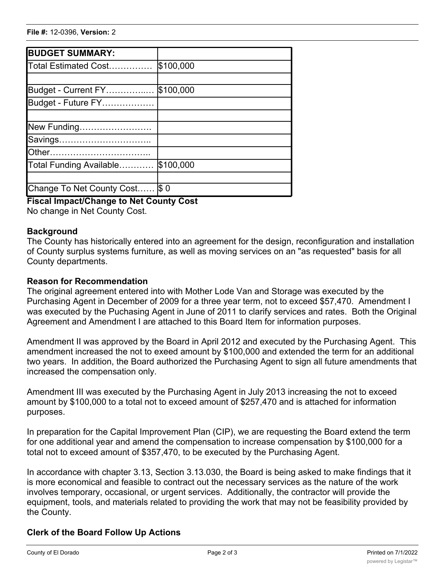| <b>BUDGET SUMMARY:</b>          |           |
|---------------------------------|-----------|
| Total Estimated Cost            | \$100,000 |
|                                 |           |
| Budget - Current FY             | \$100,000 |
| Budget - Future FY              |           |
|                                 |           |
| New Funding                     |           |
| Savings                         |           |
|                                 |           |
| Total Funding Available         | \$100,000 |
|                                 |           |
| Change To Net County Cost  \$ 0 |           |

## **Fiscal Impact/Change to Net County Cost**

No change in Net County Cost.

#### **Background**

The County has historically entered into an agreement for the design, reconfiguration and installation of County surplus systems furniture, as well as moving services on an "as requested" basis for all County departments.

#### **Reason for Recommendation**

The original agreement entered into with Mother Lode Van and Storage was executed by the Purchasing Agent in December of 2009 for a three year term, not to exceed \$57,470. Amendment I was executed by the Puchasing Agent in June of 2011 to clarify services and rates. Both the Original Agreement and Amendment I are attached to this Board Item for information purposes.

Amendment II was approved by the Board in April 2012 and executed by the Purchasing Agent. This amendment increased the not to exeed amount by \$100,000 and extended the term for an additional two years. In addition, the Board authorized the Purchasing Agent to sign all future amendments that increased the compensation only.

Amendment III was executed by the Purchasing Agent in July 2013 increasing the not to exceed amount by \$100,000 to a total not to exceed amount of \$257,470 and is attached for information purposes.

In preparation for the Capital Improvement Plan (CIP), we are requesting the Board extend the term for one additional year and amend the compensation to increase compensation by \$100,000 for a total not to exceed amount of \$357,470, to be executed by the Purchasing Agent.

In accordance with chapter 3.13, Section 3.13.030, the Board is being asked to make findings that it is more economical and feasible to contract out the necessary services as the nature of the work involves temporary, occasional, or urgent services. Additionally, the contractor will provide the equipment, tools, and materials related to providing the work that may not be feasibility provided by the County.

## **Clerk of the Board Follow Up Actions**